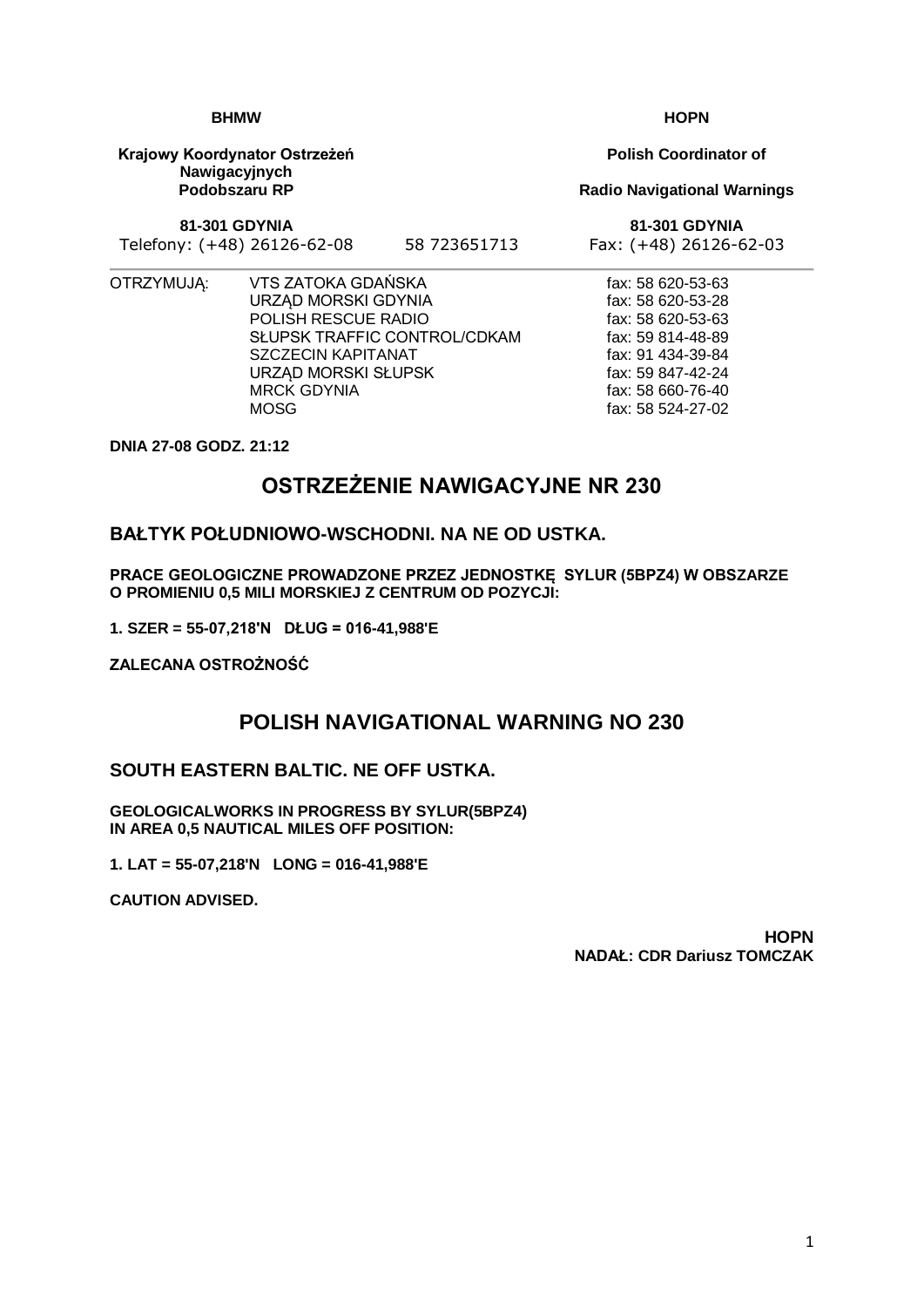1

# **BHMW**

**Krajowy Koordynator Ostrzeżeń Nawigacyjnych Podobszaru RP**

**81-301 GDYNIA**

Telefony: (+48) 26126-62-08 58 723651713 Fax: (+48) 26126-62-03

- 
- OTRZYMUJĄ: VTS ZATOKA GDAŃSKA URZĄD MORSKI GDYNIA POLISH RESCUE RADIO SŁUPSK TRAFFIC CONTROL/CDKAM SZCZECIN KAPITANAT URZĄD MORSKI SŁUPSK MRCK GDYNIA MOSG

**DNIA 27-08 GODZ. 21:12**

## **OSTRZEŻENIE NAWIGACYJNE NR 230**

#### **BAŁTYK POŁUDNIOWO-WSCHODNI. NA NE OD USTKA.**

**PRACE GEOLOGICZNE PROWADZONE PRZEZ JEDNOSTKĘ SYLUR (5BPZ4) W OBSZARZE O PROMIENIU 0,5 MILI MORSKIEJ Z CENTRUM OD POZYCJI:**

**1. SZER = 55-07,218'N DŁUG = 016-41,988'E**

**ZALECANA OSTROŻNOŚĆ**

### **POLISH NAVIGATIONAL WARNING NO 230**

### **SOUTH EASTERN BALTIC. NE OFF USTKA.**

**GEOLOGICALWORKS IN PROGRESS BY SYLUR(5BPZ4) IN AREA 0,5 NAUTICAL MILES OFF POSITION:**

**1. LAT = 55-07,218'N LONG = 016-41,988'E**

**CAUTION ADVISED.**

**HOPN NADAŁ: CDR Dariusz TOMCZAK**

**Polish Coordinator of**

**Radio Navigational Warnings**

**81-301 GDYNIA**

fax: 58 620-53-63 fax: 58 620-53-28 fax: 58 620-53-63 fax: 59 814-48-89 fax: 91 434-39-84 fax: 59 847-42-24 fax: 58 660-76-40 fax: 58 524-27-02

### **HOPN**